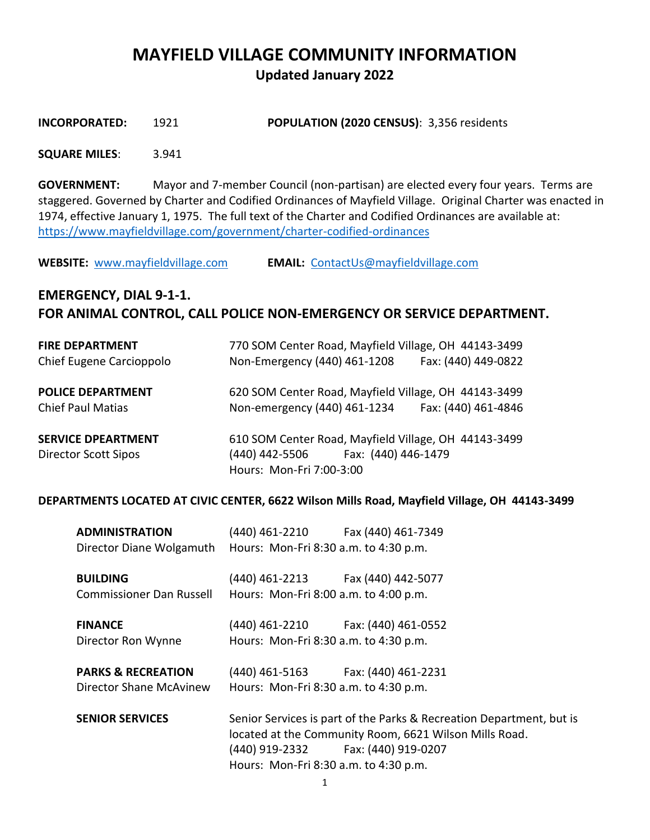# **MAYFIELD VILLAGE COMMUNITY INFORMATION Updated January 2022**

**INCORPORATED:** 1921 **POPULATION (2020 CENSUS)**: 3,356 residents

#### **SQUARE MILES**: 3.941

**GOVERNMENT:** Mayor and 7-member Council (non-partisan) are elected every four years. Terms are staggered. Governed by Charter and Codified Ordinances of Mayfield Village. Original Charter was enacted in 1974, effective January 1, 1975. The full text of the Charter and Codified Ordinances are available at: <https://www.mayfieldvillage.com/government/charter-codified-ordinances>

**WEBSITE:** [www.mayfieldvillage.com](http://www.mayfieldvillage.com/) **EMAIL:** [ContactUs@mayfieldvillage.com](mailto:ContactUs@mayfieldvillage.com)

## **EMERGENCY, DIAL 9-1-1. FOR ANIMAL CONTROL, CALL POLICE NON-EMERGENCY OR SERVICE DEPARTMENT.**

| <b>FIRE DEPARTMENT</b>      | 770 SOM Center Road, Mayfield Village, OH 44143-3499 |  |  |
|-----------------------------|------------------------------------------------------|--|--|
| Chief Eugene Carcioppolo    | Non-Emergency (440) 461-1208<br>Fax: (440) 449-0822  |  |  |
|                             |                                                      |  |  |
| <b>POLICE DEPARTMENT</b>    | 620 SOM Center Road, Mayfield Village, OH 44143-3499 |  |  |
| <b>Chief Paul Matias</b>    | Non-emergency (440) 461-1234<br>Fax: (440) 461-4846  |  |  |
| <b>SERVICE DPEARTMENT</b>   | 610 SOM Center Road, Mayfield Village, OH 44143-3499 |  |  |
|                             |                                                      |  |  |
| <b>Director Scott Sipos</b> | (440) 442-5506 Fax: (440) 446-1479                   |  |  |
|                             | Hours: Mon-Fri 7:00-3:00                             |  |  |

#### **DEPARTMENTS LOCATED AT CIVIC CENTER, 6622 Wilson Mills Road, Mayfield Village, OH 44143-3499**

| <b>ADMINISTRATION</b>                                          | (440) 461-2210 Fax (440) 461-7349                                                                                              |  |
|----------------------------------------------------------------|--------------------------------------------------------------------------------------------------------------------------------|--|
| Director Diane Wolgamuth Hours: Mon-Fri 8:30 a.m. to 4:30 p.m. |                                                                                                                                |  |
| <b>BUILDING</b>                                                | (440) 461-2213 Fax (440) 442-5077                                                                                              |  |
| <b>Commissioner Dan Russell</b>                                | Hours: Mon-Fri 8:00 a.m. to 4:00 p.m.                                                                                          |  |
| <b>FINANCE</b>                                                 | (440) 461-2210 Fax: (440) 461-0552                                                                                             |  |
| Director Ron Wynne                                             | Hours: Mon-Fri 8:30 a.m. to 4:30 p.m.                                                                                          |  |
| <b>PARKS &amp; RECREATION</b>                                  | (440) 461-5163 Fax: (440) 461-2231                                                                                             |  |
| Director Shane McAvinew                                        | Hours: Mon-Fri 8:30 a.m. to 4:30 p.m.                                                                                          |  |
| <b>SENIOR SERVICES</b>                                         | Senior Services is part of the Parks & Recreation Department, but is<br>located at the Community Room, 6621 Wilson Mills Road. |  |
|                                                                |                                                                                                                                |  |
|                                                                | (440) 919-2332 Fax: (440) 919-0207                                                                                             |  |
|                                                                | Hours: Mon-Fri 8:30 a.m. to 4:30 p.m.                                                                                          |  |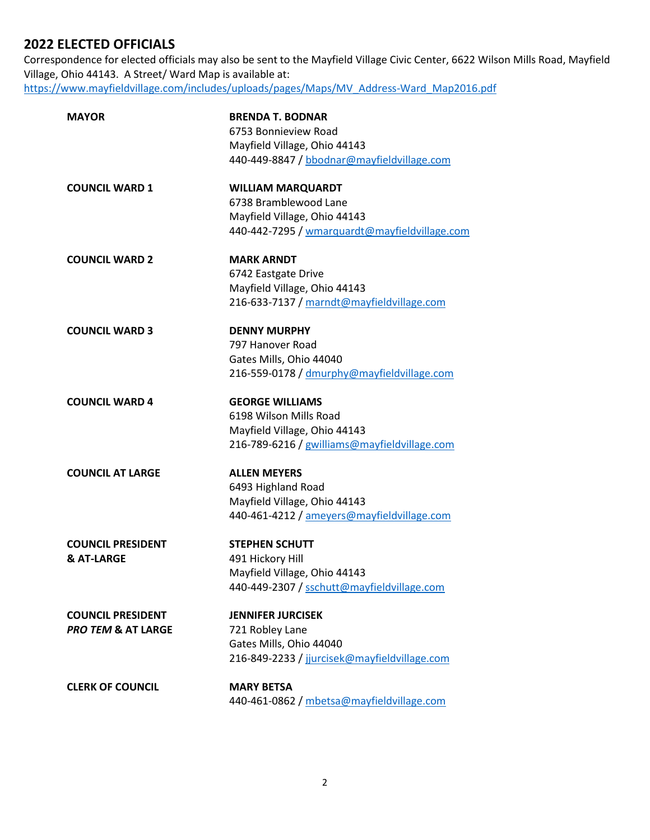## **2022 ELECTED OFFICIALS**

Correspondence for elected officials may also be sent to the Mayfield Village Civic Center, 6622 Wilson Mills Road, Mayfield Village, Ohio 44143. A Street/ Ward Map is available at: [https://www.mayfieldvillage.com/includes/uploads/pages/Maps/MV\\_Address-Ward\\_Map2016.pdf](https://www.mayfieldvillage.com/includes/uploads/pages/Maps/MV_Address-Ward_Map2016.pdf)

| MAYOR                         | <b>BRENDA T. BODNAR</b>                       |  |
|-------------------------------|-----------------------------------------------|--|
|                               | 6753 Bonnieview Road                          |  |
|                               | Mayfield Village, Ohio 44143                  |  |
|                               | 440-449-8847 / bbodnar@mayfieldvillage.com    |  |
| <b>COUNCIL WARD 1</b>         | <b>WILLIAM MARQUARDT</b>                      |  |
|                               | 6738 Bramblewood Lane                         |  |
|                               | Mayfield Village, Ohio 44143                  |  |
|                               | 440-442-7295 / wmarquardt@mayfieldvillage.com |  |
| <b>COUNCIL WARD 2</b>         | <b>MARK ARNDT</b>                             |  |
|                               | 6742 Eastgate Drive                           |  |
|                               | Mayfield Village, Ohio 44143                  |  |
|                               | 216-633-7137 / marndt@mayfieldvillage.com     |  |
| <b>COUNCIL WARD 3</b>         | <b>DENNY MURPHY</b>                           |  |
|                               | 797 Hanover Road                              |  |
|                               | Gates Mills, Ohio 44040                       |  |
|                               | 216-559-0178 / dmurphy@mayfieldvillage.com    |  |
| <b>COUNCIL WARD 4</b>         | <b>GEORGE WILLIAMS</b>                        |  |
|                               | 6198 Wilson Mills Road                        |  |
|                               | Mayfield Village, Ohio 44143                  |  |
|                               | 216-789-6216 / gwilliams@mayfieldvillage.com  |  |
| <b>COUNCIL AT LARGE</b>       | <b>ALLEN MEYERS</b>                           |  |
|                               | 6493 Highland Road                            |  |
|                               | Mayfield Village, Ohio 44143                  |  |
|                               | 440-461-4212 / ameyers@mayfieldvillage.com    |  |
| <b>COUNCIL PRESIDENT</b>      | <b>STEPHEN SCHUTT</b>                         |  |
| & AT-LARGE                    | 491 Hickory Hill                              |  |
|                               | Mayfield Village, Ohio 44143                  |  |
|                               | 440-449-2307 / sschutt@mayfieldvillage.com    |  |
| <b>COUNCIL PRESIDENT</b>      | <b>JENNIFER JURCISEK</b>                      |  |
| <b>PRO TEM &amp; AT LARGE</b> | 721 Robley Lane                               |  |
|                               | Gates Mills, Ohio 44040                       |  |
|                               | 216-849-2233 / jjurcisek@mayfieldvillage.com  |  |
| <b>CLERK OF COUNCIL</b>       | <b>MARY BETSA</b>                             |  |
|                               | 440-461-0862 / mbetsa@mayfieldvillage.com     |  |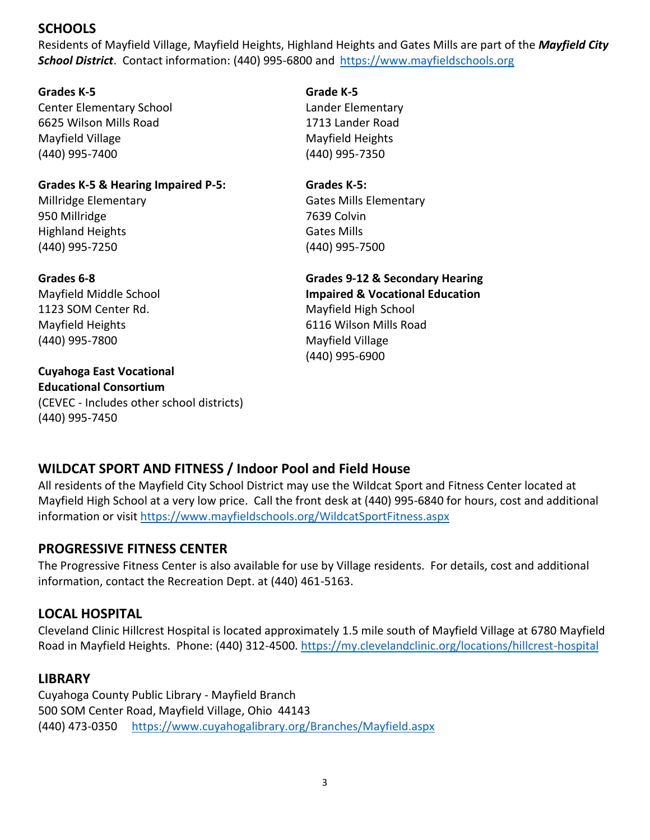## **SCHOOLS**

Residents of Mayfield Village, Mayfield Heights, Highland Heights and Gates Mills are part of the *Mayfield City School District*. Contact information: (440) 995-6800 and [https://www.mayfieldschools.org](https://www.mayfieldschools.org/)

## **Grades K-5 Grade K-5**

Center Elementary School Lander Elementary 6625 Wilson Mills Road 1713 Lander Road Mayfield Village Mayfield Heights (440) 995-7400 (440) 995-7350

## **Grades K-5 & Hearing Impaired P-5: Grades K-5:** Millridge Elementary **Gates Mills Elementary** Gates Mills Elementary 950 Millridge 7639 Colvin

Highland Heights Gates Mills (440) 995-7250 (440) 995-7500

1123 SOM Center Rd. Mayfield High School Mayfield Heights 6116 Wilson Mills Road (440) 995-7800 Mayfield Village

**Cuyahoga East Vocational Educational Consortium** (CEVEC - Includes other school districts) (440) 995-7450

**Grades 6-8 Grades 9-12 & Secondary Hearing**

Mayfield Middle School **Impaired & Vocational Education** (440) 995-6900

## **WILDCAT SPORT AND FITNESS / Indoor Pool and Field House**

All residents of the Mayfield City School District may use the Wildcat Sport and Fitness Center located at Mayfield High School at a very low price. Call the front desk at (440) 995-6840 for hours, cost and additional information or visit<https://www.mayfieldschools.org/WildcatSportFitness.aspx>

## **PROGRESSIVE FITNESS CENTER**

The Progressive Fitness Center is also available for use by Village residents. For details, cost and additional information, contact the Recreation Dept. at (440) 461-5163.

## **LOCAL HOSPITAL**

Cleveland Clinic Hillcrest Hospital is located approximately 1.5 mile south of Mayfield Village at 6780 Mayfield Road in Mayfield Heights. Phone: (440) 312-4500. <https://my.clevelandclinic.org/locations/hillcrest-hospital>

## **LIBRARY**

Cuyahoga County Public Library - Mayfield Branch 500 SOM Center Road, Mayfield Village, Ohio 44143 (440) 473-0350 <https://www.cuyahogalibrary.org/Branches/Mayfield.aspx>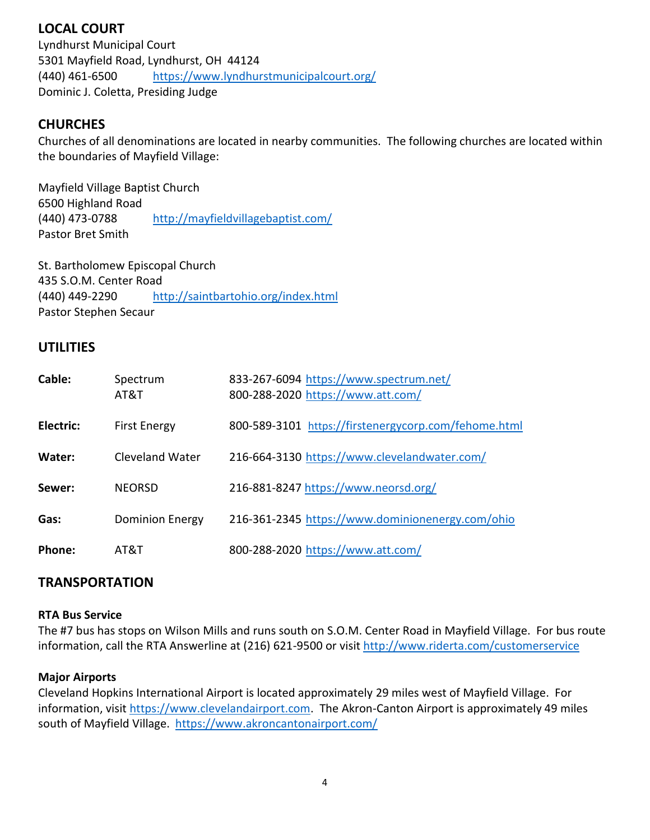## **LOCAL COURT**

Lyndhurst Municipal Court 5301 Mayfield Road, Lyndhurst, OH 44124 (440) 461-6500 <https://www.lyndhurstmunicipalcourt.org/> Dominic J. Coletta, Presiding Judge

## **CHURCHES**

Churches of all denominations are located in nearby communities. The following churches are located within the boundaries of Mayfield Village:

Mayfield Village Baptist Church 6500 Highland Road (440) 473-0788 <http://mayfieldvillagebaptist.com/> Pastor Bret Smith

St. Bartholomew Episcopal Church 435 S.O.M. Center Road (440) 449-2290 <http://saintbartohio.org/index.html> Pastor Stephen Secaur

## **UTILITIES**

| Cable:    | Spectrum<br>AT&T       | 833-267-6094 https://www.spectrum.net/<br>800-288-2020 https://www.att.com/ |
|-----------|------------------------|-----------------------------------------------------------------------------|
| Electric: | <b>First Energy</b>    | 800-589-3101 https://firstenergycorp.com/fehome.html                        |
| Water:    | <b>Cleveland Water</b> | 216-664-3130 https://www.clevelandwater.com/                                |
| Sewer:    | <b>NEORSD</b>          | 216-881-8247 https://www.neorsd.org/                                        |
| Gas:      | <b>Dominion Energy</b> | 216-361-2345 https://www.dominionenergy.com/ohio                            |
| Phone:    | AT&T                   | 800-288-2020 https://www.att.com/                                           |

## **TRANSPORTATION**

#### **RTA Bus Service**

The #7 bus has stops on Wilson Mills and runs south on S.O.M. Center Road in Mayfield Village. For bus route information, call the RTA Answerline at (216) 621-9500 or visit<http://www.riderta.com/customerservice>

#### **Major Airports**

Cleveland Hopkins International Airport is located approximately 29 miles west of Mayfield Village. For information, visit [https://www.clevelandairport.com.](https://www.clevelandairport.com/) The Akron-Canton Airport is approximately 49 miles south of Mayfield Village. <https://www.akroncantonairport.com/>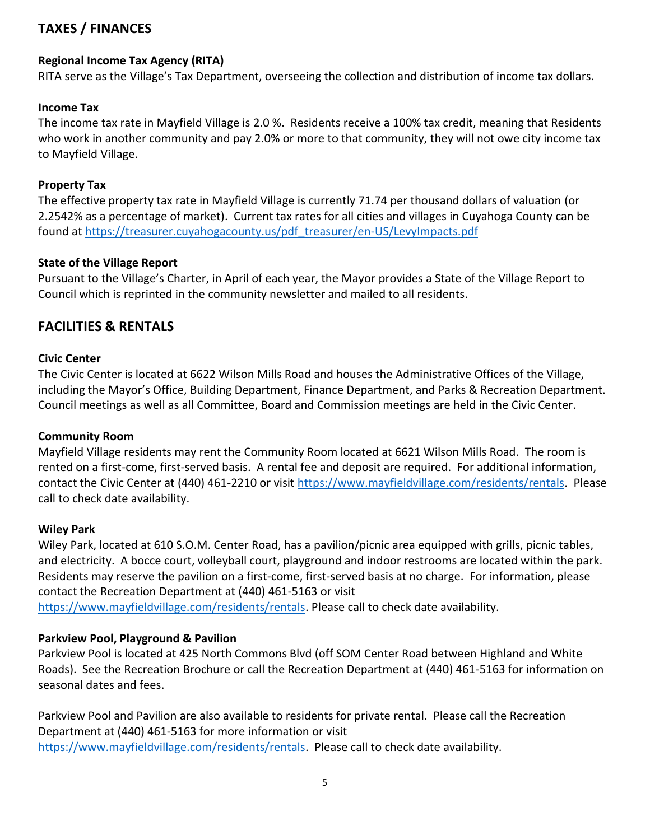## **TAXES / FINANCES**

## **Regional Income Tax Agency (RITA)**

RITA serve as the Village's Tax Department, overseeing the collection and distribution of income tax dollars.

## **Income Tax**

The income tax rate in Mayfield Village is 2.0 %. Residents receive a 100% tax credit, meaning that Residents who work in another community and pay 2.0% or more to that community, they will not owe city income tax to Mayfield Village.

## **Property Tax**

The effective property tax rate in Mayfield Village is currently 71.74 per thousand dollars of valuation (or 2.2542% as a percentage of market). Current tax rates for all cities and villages in Cuyahoga County can be found at [https://treasurer.cuyahogacounty.us/pdf\\_treasurer/en-US/LevyImpacts.pdf](https://treasurer.cuyahogacounty.us/pdf_treasurer/en-US/LevyImpacts.pdf)

## **State of the Village Report**

Pursuant to the Village's Charter, in April of each year, the Mayor provides a State of the Village Report to Council which is reprinted in the community newsletter and mailed to all residents.

## **FACILITIES & RENTALS**

## **Civic Center**

The Civic Center is located at 6622 Wilson Mills Road and houses the Administrative Offices of the Village, including the Mayor's Office, Building Department, Finance Department, and Parks & Recreation Department. Council meetings as well as all Committee, Board and Commission meetings are held in the Civic Center.

#### **Community Room**

Mayfield Village residents may rent the Community Room located at 6621 Wilson Mills Road. The room is rented on a first-come, first-served basis. A rental fee and deposit are required. For additional information, contact the Civic Center at (440) 461-2210 or visit [https://www.mayfieldvillage.com/residents/rentals.](https://www.mayfieldvillage.com/residents/rentals) Please call to check date availability.

#### **Wiley Park**

Wiley Park, located at 610 S.O.M. Center Road, has a pavilion/picnic area equipped with grills, picnic tables, and electricity. A bocce court, volleyball court, playground and indoor restrooms are located within the park. Residents may reserve the pavilion on a first-come, first-served basis at no charge. For information, please contact the Recreation Department at (440) 461-5163 or visit

[https://www.mayfieldvillage.com/residents/rentals.](https://www.mayfieldvillage.com/residents/rentals) Please call to check date availability.

## **Parkview Pool, Playground & Pavilion**

Parkview Pool is located at 425 North Commons Blvd (off SOM Center Road between Highland and White Roads). See the Recreation Brochure or call the Recreation Department at (440) 461-5163 for information on seasonal dates and fees.

Parkview Pool and Pavilion are also available to residents for private rental. Please call the Recreation Department at (440) 461-5163 for more information or visit [https://www.mayfieldvillage.com/residents/rentals.](https://www.mayfieldvillage.com/residents/rentals) Please call to check date availability.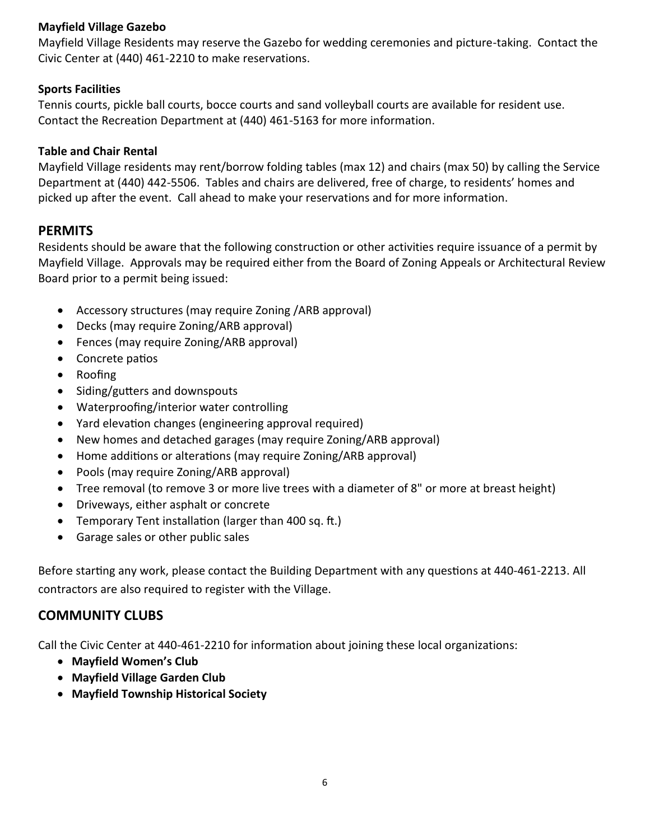## **Mayfield Village Gazebo**

Mayfield Village Residents may reserve the Gazebo for wedding ceremonies and picture-taking. Contact the Civic Center at (440) 461-2210 to make reservations.

## **Sports Facilities**

Tennis courts, pickle ball courts, bocce courts and sand volleyball courts are available for resident use. Contact the Recreation Department at (440) 461-5163 for more information.

## **Table and Chair Rental**

Mayfield Village residents may rent/borrow folding tables (max 12) and chairs (max 50) by calling the Service Department at (440) 442-5506. Tables and chairs are delivered, free of charge, to residents' homes and picked up after the event. Call ahead to make your reservations and for more information.

## **PERMITS**

Residents should be aware that the following construction or other activities require issuance of a permit by Mayfield Village. Approvals may be required either from the Board of Zoning Appeals or Architectural Review Board prior to a permit being issued:

- Accessory structures (may require Zoning /ARB approval)
- Decks (may require Zoning/ARB approval)
- Fences (may require Zoning/ARB approval)
- Concrete patios
- Roofing
- Siding/gutters and downspouts
- Waterproofing/interior water controlling
- Yard elevation changes (engineering approval required)
- New homes and detached garages (may require Zoning/ARB approval)
- Home additions or alterations (may require Zoning/ARB approval)
- Pools (may require Zoning/ARB approval)
- Tree removal (to remove 3 or more live trees with a diameter of 8" or more at breast height)
- Driveways, either asphalt or concrete
- Temporary Tent installation (larger than 400 sq. ft.)
- Garage sales or other public sales

Before starting any work, please contact the Building Department with any questions at 440-461-2213. All contractors are also required to register with the Village.

## **COMMUNITY CLUBS**

Call the Civic Center at 440-461-2210 for information about joining these local organizations:

- **Mayfield Women's Club**
- **Mayfield Village Garden Club**
- **Mayfield Township Historical Society**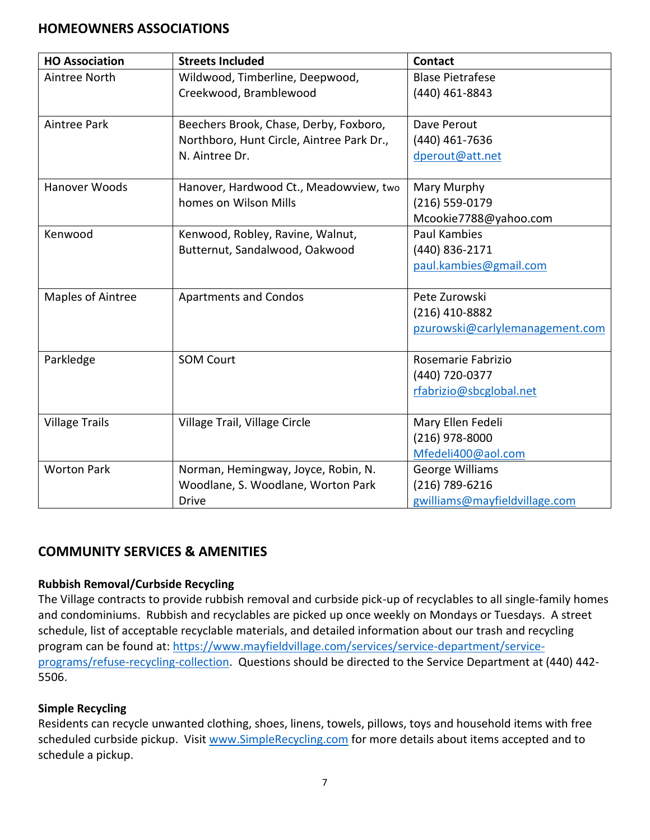## **HOMEOWNERS ASSOCIATIONS**

| <b>HO Association</b> | <b>Streets Included</b>                   | <b>Contact</b>                  |
|-----------------------|-------------------------------------------|---------------------------------|
| Aintree North         | Wildwood, Timberline, Deepwood,           | <b>Blase Pietrafese</b>         |
|                       | Creekwood, Bramblewood                    | (440) 461-8843                  |
| Aintree Park          | Beechers Brook, Chase, Derby, Foxboro,    | Dave Perout                     |
|                       | Northboro, Hunt Circle, Aintree Park Dr., | (440) 461-7636                  |
|                       | N. Aintree Dr.                            | dperout@att.net                 |
| Hanover Woods         | Hanover, Hardwood Ct., Meadowview, two    | Mary Murphy                     |
|                       | homes on Wilson Mills                     | (216) 559-0179                  |
|                       |                                           | Mcookie7788@yahoo.com           |
| Kenwood               | Kenwood, Robley, Ravine, Walnut,          | <b>Paul Kambies</b>             |
|                       | Butternut, Sandalwood, Oakwood            | (440) 836-2171                  |
|                       |                                           | paul.kambies@gmail.com          |
| Maples of Aintree     | <b>Apartments and Condos</b>              | Pete Zurowski                   |
|                       |                                           | $(216)$ 410-8882                |
|                       |                                           | pzurowski@carlylemanagement.com |
| Parkledge             | <b>SOM Court</b>                          | Rosemarie Fabrizio              |
|                       |                                           | (440) 720-0377                  |
|                       |                                           | rfabrizio@sbcglobal.net         |
| <b>Village Trails</b> | Village Trail, Village Circle             | Mary Ellen Fedeli               |
|                       |                                           | (216) 978-8000                  |
|                       |                                           | Mfedeli400@aol.com              |
| <b>Worton Park</b>    | Norman, Hemingway, Joyce, Robin, N.       | <b>George Williams</b>          |
|                       | Woodlane, S. Woodlane, Worton Park        | (216) 789-6216                  |
|                       | <b>Drive</b>                              | gwilliams@mayfieldvillage.com   |

## **COMMUNITY SERVICES & AMENITIES**

## **Rubbish Removal/Curbside Recycling**

The Village contracts to provide rubbish removal and curbside pick-up of recyclables to all single-family homes and condominiums. Rubbish and recyclables are picked up once weekly on Mondays or Tuesdays. A street schedule, list of acceptable recyclable materials, and detailed information about our trash and recycling program can be found at: [https://www.mayfieldvillage.com/services/service-department/service](https://www.mayfieldvillage.com/services/service-department/service-programs/refuse-recycling-collection)[programs/refuse-recycling-collection.](https://www.mayfieldvillage.com/services/service-department/service-programs/refuse-recycling-collection) Questions should be directed to the Service Department at (440) 442- 5506.

## **Simple Recycling**

Residents can recycle unwanted clothing, shoes, linens, towels, pillows, toys and household items with free scheduled curbside pickup. Visit [www.SimpleRecycling.com](http://www.simplerecycling.com/) for more details about items accepted and to schedule a pickup.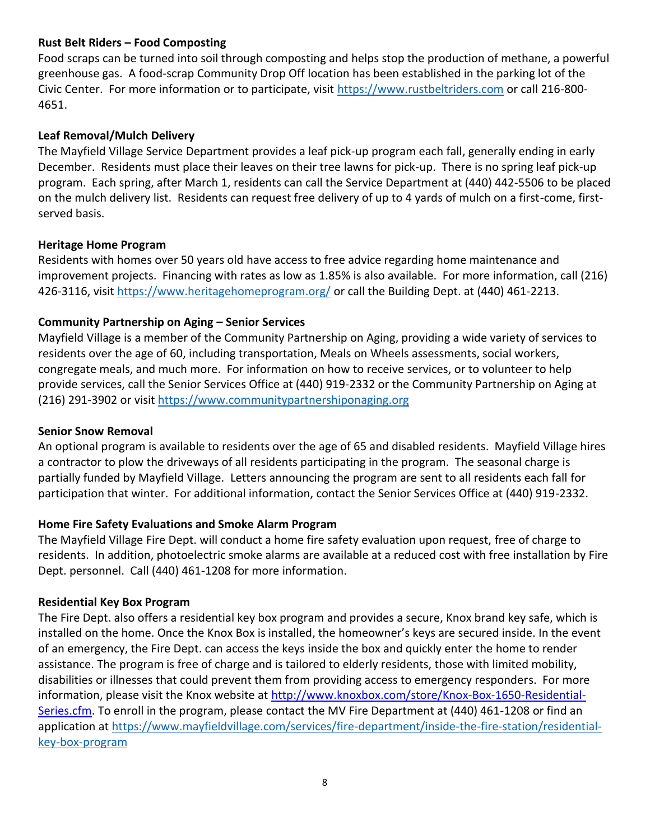## **Rust Belt Riders – Food Composting**

Food scraps can be turned into soil through composting and helps stop the production of methane, a powerful greenhouse gas. A food-scrap Community Drop Off location has been established in the parking lot of the Civic Center. For more information or to participate, visit [https://www.rustbeltriders.com](https://www.rustbeltriders.com/) or call 216-800- 4651.

## **Leaf Removal/Mulch Delivery**

The Mayfield Village Service Department provides a leaf pick-up program each fall, generally ending in early December. Residents must place their leaves on their tree lawns for pick-up. There is no spring leaf pick-up program. Each spring, after March 1, residents can call the Service Department at (440) 442-5506 to be placed on the mulch delivery list. Residents can request free delivery of up to 4 yards of mulch on a first-come, firstserved basis.

#### **Heritage Home Program**

Residents with homes over 50 years old have access to free advice regarding home maintenance and improvement projects. Financing with rates as low as 1.85% is also available. For more information, call (216) 426-3116, visit<https://www.heritagehomeprogram.org/> or call the Building Dept. at (440) 461-2213.

## **Community Partnership on Aging – Senior Services**

Mayfield Village is a member of the Community Partnership on Aging, providing a wide variety of services to residents over the age of 60, including transportation, Meals on Wheels assessments, social workers, congregate meals, and much more. For information on how to receive services, or to volunteer to help provide services, call the Senior Services Office at (440) 919-2332 or the Community Partnership on Aging at (216) 291-3902 or visit [https://www.communitypartnershiponaging.org](https://www.communitypartnershiponaging.org/)

#### **Senior Snow Removal**

An optional program is available to residents over the age of 65 and disabled residents. Mayfield Village hires a contractor to plow the driveways of all residents participating in the program. The seasonal charge is partially funded by Mayfield Village. Letters announcing the program are sent to all residents each fall for participation that winter. For additional information, contact the Senior Services Office at (440) 919-2332.

#### **Home Fire Safety Evaluations and Smoke Alarm Program**

The Mayfield Village Fire Dept. will conduct a home fire safety evaluation upon request, free of charge to residents. In addition, photoelectric smoke alarms are available at a reduced cost with free installation by Fire Dept. personnel. Call (440) 461-1208 for more information.

#### **Residential Key Box Program**

The Fire Dept. also offers a residential key box program and provides a secure, Knox brand key safe, which is installed on the home. Once the Knox Box is installed, the homeowner's keys are secured inside. In the event of an emergency, the Fire Dept. can access the keys inside the box and quickly enter the home to render assistance. The program is free of charge and is tailored to elderly residents, those with limited mobility, disabilities or illnesses that could prevent them from providing access to emergency responders. For more information, please visit the Knox website at [http://www.knoxbox.com/store/Knox-Box-1650-Residential-](http://www.knoxbox.com/store/Knox-Box-1650-Residential-Series.cfm)[Series.cfm.](http://www.knoxbox.com/store/Knox-Box-1650-Residential-Series.cfm) To enroll in the program, please contact the MV Fire Department at (440) 461-1208 or find an application at [https://www.mayfieldvillage.com/services/fire-department/inside-the-fire-station/residential](https://www.mayfieldvillage.com/services/fire-department/inside-the-fire-station/residential-key-box-program)[key-box-program](https://www.mayfieldvillage.com/services/fire-department/inside-the-fire-station/residential-key-box-program)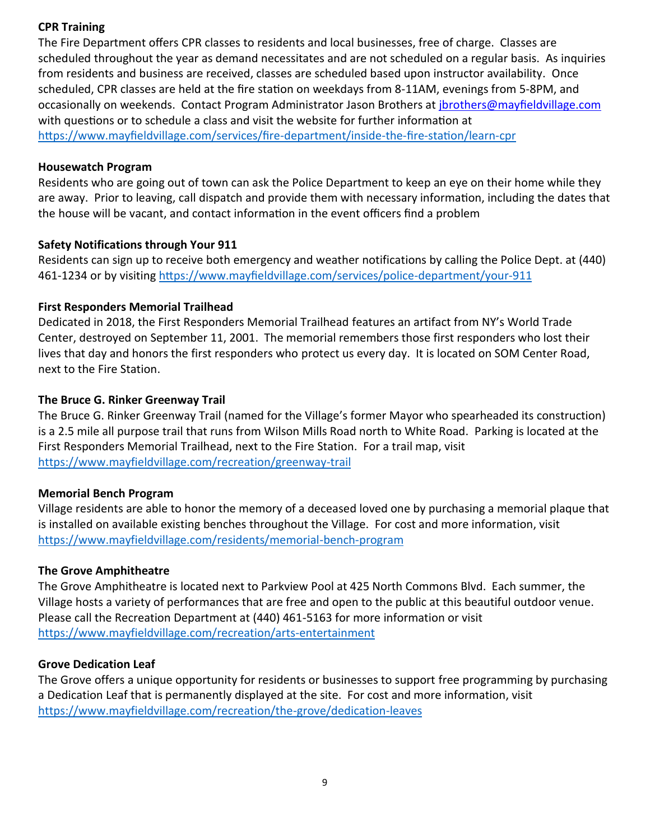## **CPR Training**

The Fire Department offers CPR classes to residents and local businesses, free of charge. Classes are scheduled throughout the year as demand necessitates and are not scheduled on a regular basis. As inquiries from residents and business are received, classes are scheduled based upon instructor availability. Once scheduled, CPR classes are held at the fire station on weekdays from 8-11AM, evenings from 5-8PM, and occasionally on weekends. Contact Program Administrator Jason Brothers at [jbrothers@mayfieldvillage.com](mailto:jbrothers@mayfieldvillage.com) with questions or to schedule a class and visit the website for further information at <https://www.mayfieldvillage.com/services/fire-department/inside-the-fire-station/learn-cpr>

## **Housewatch Program**

Residents who are going out of town can ask the Police Department to keep an eye on their home while they are away. Prior to leaving, call dispatch and provide them with necessary information, including the dates that the house will be vacant, and contact information in the event officers find a problem

## **Safety Notifications through Your 911**

Residents can sign up to receive both emergency and weather notifications by calling the Police Dept. at (440) 461-1234 or by visiting <https://www.mayfieldvillage.com/services/police-department/your-911>

## **First Responders Memorial Trailhead**

Dedicated in 2018, the First Responders Memorial Trailhead features an artifact from NY's World Trade Center, destroyed on September 11, 2001. The memorial remembers those first responders who lost their lives that day and honors the first responders who protect us every day. It is located on SOM Center Road, next to the Fire Station.

## **The Bruce G. Rinker Greenway Trail**

The Bruce G. Rinker Greenway Trail (named for the Village's former Mayor who spearheaded its construction) is a 2.5 mile all purpose trail that runs from Wilson Mills Road north to White Road. Parking is located at the First Responders Memorial Trailhead, next to the Fire Station. For a trail map, visit <https://www.mayfieldvillage.com/recreation/greenway-trail>

#### **Memorial Bench Program**

Village residents are able to honor the memory of a deceased loved one by purchasing a memorial plaque that is installed on available existing benches throughout the Village. For cost and more information, visit <https://www.mayfieldvillage.com/residents/memorial-bench-program>

#### **The Grove Amphitheatre**

The Grove Amphitheatre is located next to Parkview Pool at 425 North Commons Blvd. Each summer, the Village hosts a variety of performances that are free and open to the public at this beautiful outdoor venue. Please call the Recreation Department at (440) 461-5163 for more information or visit <https://www.mayfieldvillage.com/recreation/arts-entertainment>

#### **Grove Dedication Leaf**

The Grove offers a unique opportunity for residents or businesses to support free programming by purchasing a Dedication Leaf that is permanently displayed at the site. For cost and more information, visit <https://www.mayfieldvillage.com/recreation/the-grove/dedication-leaves>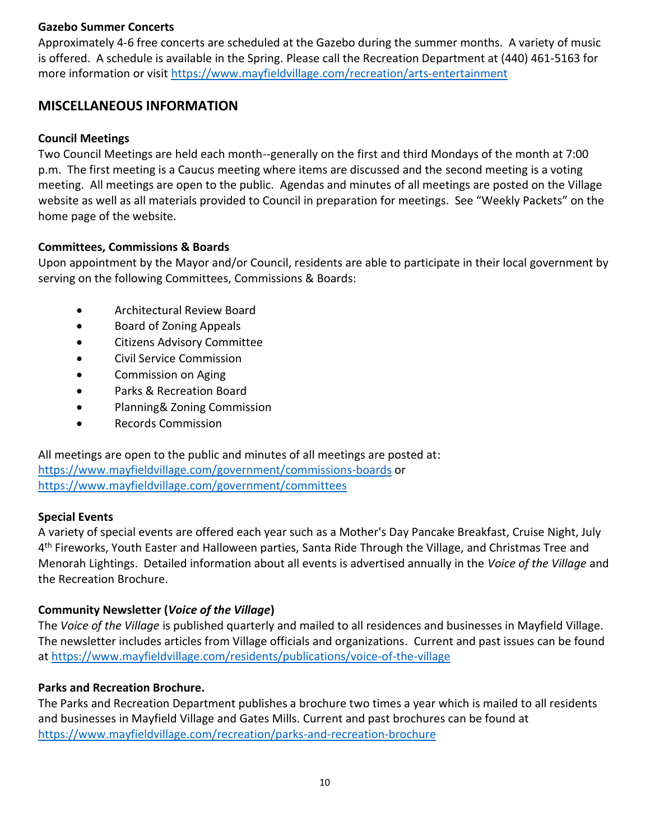## **Gazebo Summer Concerts**

Approximately 4-6 free concerts are scheduled at the Gazebo during the summer months. A variety of music is offered. A schedule is available in the Spring. Please call the Recreation Department at (440) 461-5163 for more information or visit <https://www.mayfieldvillage.com/recreation/arts-entertainment>

## **MISCELLANEOUS INFORMATION**

#### **Council Meetings**

Two Council Meetings are held each month--generally on the first and third Mondays of the month at 7:00 p.m. The first meeting is a Caucus meeting where items are discussed and the second meeting is a voting meeting. All meetings are open to the public. Agendas and minutes of all meetings are posted on the Village website as well as all materials provided to Council in preparation for meetings. See "Weekly Packets" on the home page of the website.

#### **Committees, Commissions & Boards**

Upon appointment by the Mayor and/or Council, residents are able to participate in their local government by serving on the following Committees, Commissions & Boards:

- Architectural Review Board
- Board of Zoning Appeals
- Citizens Advisory Committee
- Civil Service Commission
- Commission on Aging
- Parks & Recreation Board
- Planning& Zoning Commission
- Records Commission

All meetings are open to the public and minutes of all meetings are posted at: <https://www.mayfieldvillage.com/government/commissions-boards> or <https://www.mayfieldvillage.com/government/committees>

#### **Special Events**

A variety of special events are offered each year such as a Mother's Day Pancake Breakfast, Cruise Night, July 4<sup>th</sup> Fireworks, Youth Easter and Halloween parties, Santa Ride Through the Village, and Christmas Tree and Menorah Lightings. Detailed information about all events is advertised annually in the *Voice of the Village* and the Recreation Brochure.

#### **Community Newsletter (***Voice of the Village***)**

The *Voice of the Village* is published quarterly and mailed to all residences and businesses in Mayfield Village. The newsletter includes articles from Village officials and organizations. Current and past issues can be found at <https://www.mayfieldvillage.com/residents/publications/voice-of-the-village>

#### **Parks and Recreation Brochure.**

The Parks and Recreation Department publishes a brochure two times a year which is mailed to all residents and businesses in Mayfield Village and Gates Mills. Current and past brochures can be found at <https://www.mayfieldvillage.com/recreation/parks-and-recreation-brochure>